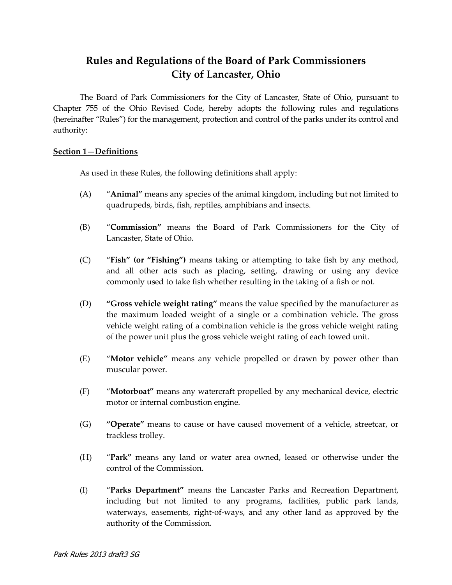# **Rules and Regulations of the Board of Park Commissioners City of Lancaster, Ohio**

The Board of Park Commissioners for the City of Lancaster, State of Ohio, pursuant to Chapter 755 of the Ohio Revised Code, hereby adopts the following rules and regulations (hereinafter "Rules") for the management, protection and control of the parks under its control and authority:

#### **Section 1—Definitions**

As used in these Rules, the following definitions shall apply:

- (A) "**Animal"** means any species of the animal kingdom, including but not limited to quadrupeds, birds, fish, reptiles, amphibians and insects.
- (B) "**Commission"** means the Board of Park Commissioners for the City of Lancaster, State of Ohio.
- (C) "**Fish" (or "Fishing")** means taking or attempting to take fish by any method, and all other acts such as placing, setting, drawing or using any device commonly used to take fish whether resulting in the taking of a fish or not.
- (D) **"Gross vehicle weight rating"** means the value specified by the manufacturer as the maximum loaded weight of a single or a combination vehicle. The gross vehicle weight rating of a combination vehicle is the gross vehicle weight rating of the power unit plus the gross vehicle weight rating of each towed unit.
- (E) "**Motor vehicle"** means any vehicle propelled or drawn by power other than muscular power.
- (F) "**Motorboat"** means any watercraft propelled by any mechanical device, electric motor or internal combustion engine.
- (G) **"Operate"** means to cause or have caused movement of a vehicle, streetcar, or trackless trolley.
- (H) "**Park"** means any land or water area owned, leased or otherwise under the control of the Commission.
- (I) "**Parks Department"** means the Lancaster Parks and Recreation Department, including but not limited to any programs, facilities, public park lands, waterways, easements, right-of-ways, and any other land as approved by the authority of the Commission.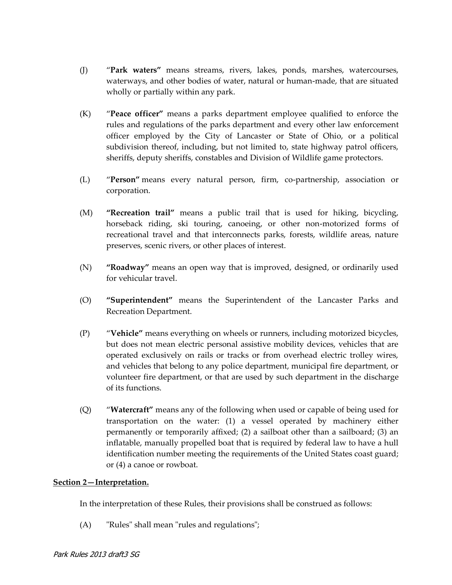- (J) "**Park waters"** means streams, rivers, lakes, ponds, marshes, watercourses, waterways, and other bodies of water, natural or human-made, that are situated wholly or partially within any park.
- (K) "**Peace officer"** means a parks department employee qualified to enforce the rules and regulations of the parks department and every other law enforcement officer employed by the City of Lancaster or State of Ohio, or a political subdivision thereof, including, but not limited to, state highway patrol officers, sheriffs, deputy sheriffs, constables and Division of Wildlife game protectors.
- (L) "**Person"** means every natural person, firm, co-partnership, association or corporation.
- (M) **"Recreation trail"** means a public trail that is used for hiking, bicycling, horseback riding, ski touring, canoeing, or other non-motorized forms of recreational travel and that interconnects parks, forests, wildlife areas, nature preserves, scenic rivers, or other places of interest.
- (N) **"Roadway"** means an open way that is improved, designed, or ordinarily used for vehicular travel.
- (O) **"Superintendent"** means the Superintendent of the Lancaster Parks and Recreation Department.
- (P) "**Vehicle"** means everything on wheels or runners, including motorized bicycles, but does not mean electric personal assistive mobility devices, vehicles that are operated exclusively on rails or tracks or from overhead electric trolley wires, and vehicles that belong to any police department, municipal fire department, or volunteer fire department, or that are used by such department in the discharge of its functions.
- (Q) "**Watercraft"** means any of the following when used or capable of being used for transportation on the water: (1) a vessel operated by machinery either permanently or temporarily affixed; (2) a sailboat other than a sailboard; (3) an inflatable, manually propelled boat that is required by federal law to have a hull identification number meeting the requirements of the United States coast guard; or (4) a canoe or rowboat.

## **Section 2—Interpretation.**

In the interpretation of these Rules, their provisions shall be construed as follows:

(A) "Rules" shall mean "rules and regulations";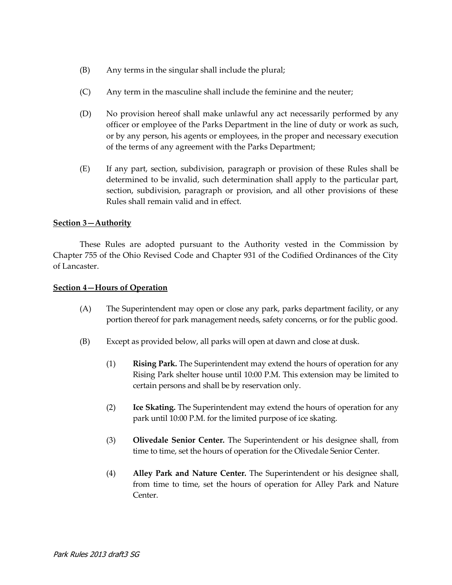- (B) Any terms in the singular shall include the plural;
- (C) Any term in the masculine shall include the feminine and the neuter;
- (D) No provision hereof shall make unlawful any act necessarily performed by any officer or employee of the Parks Department in the line of duty or work as such, or by any person, his agents or employees, in the proper and necessary execution of the terms of any agreement with the Parks Department;
- (E) If any part, section, subdivision, paragraph or provision of these Rules shall be determined to be invalid, such determination shall apply to the particular part, section, subdivision, paragraph or provision, and all other provisions of these Rules shall remain valid and in effect.

## **Section 3—Authority**

These Rules are adopted pursuant to the Authority vested in the Commission by Chapter 755 of the Ohio Revised Code and Chapter 931 of the Codified Ordinances of the City of Lancaster.

#### **Section 4—Hours of Operation**

- (A) The Superintendent may open or close any park, parks department facility, or any portion thereof for park management needs, safety concerns, or for the public good.
- (B) Except as provided below, all parks will open at dawn and close at dusk.
	- (1) **Rising Park.** The Superintendent may extend the hours of operation for any Rising Park shelter house until 10:00 P.M. This extension may be limited to certain persons and shall be by reservation only.
	- (2) **Ice Skating.** The Superintendent may extend the hours of operation for any park until 10:00 P.M. for the limited purpose of ice skating.
	- (3) **Olivedale Senior Center.** The Superintendent or his designee shall, from time to time, set the hours of operation for the Olivedale Senior Center.
	- (4) **Alley Park and Nature Center.** The Superintendent or his designee shall, from time to time, set the hours of operation for Alley Park and Nature Center.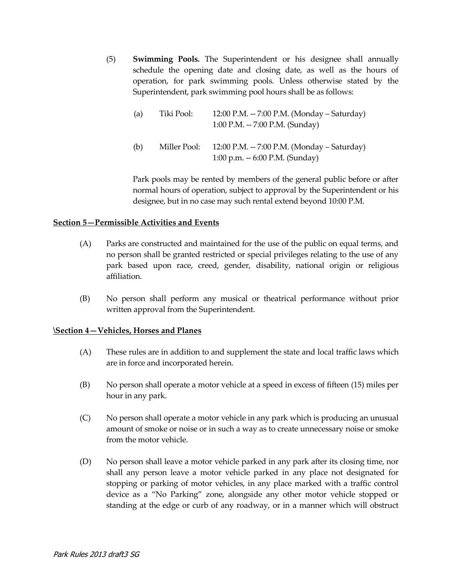(5) **Swimming Pools.** The Superintendent or his designee shall annually schedule the opening date and closing date, as well as the hours of operation, for park swimming pools. Unless otherwise stated by the Superintendent, park swimming pool hours shall be as follows:

| (a) | Tiki Pool:   | 12:00 P.M. -- 7:00 P.M. (Monday – Saturday)<br>1:00 P.M. -- 7:00 P.M. (Sunday) |
|-----|--------------|--------------------------------------------------------------------------------|
| (b) | Miller Pool: | 12:00 P.M. -- 7:00 P.M. (Monday – Saturday)<br>1:00 p.m. $-6:00$ P.M. (Sunday) |

Park pools may be rented by members of the general public before or after normal hours of operation, subject to approval by the Superintendent or his designee, but in no case may such rental extend beyond 10:00 P.M.

## **Section 5—Permissible Activities and Events**

- (A) Parks are constructed and maintained for the use of the public on equal terms, and no person shall be granted restricted or special privileges relating to the use of any park based upon race, creed, gender, disability, national origin or religious affiliation.
- (B) No person shall perform any musical or theatrical performance without prior written approval from the Superintendent.

## **\Section 4—Vehicles, Horses and Planes**

- (A) These rules are in addition to and supplement the state and local traffic laws which are in force and incorporated herein.
- (B) No person shall operate a motor vehicle at a speed in excess of fifteen (15) miles per hour in any park.
- (C) No person shall operate a motor vehicle in any park which is producing an unusual amount of smoke or noise or in such a way as to create unnecessary noise or smoke from the motor vehicle.
- (D) No person shall leave a motor vehicle parked in any park after its closing time, nor shall any person leave a motor vehicle parked in any place not designated for stopping or parking of motor vehicles, in any place marked with a traffic control device as a "No Parking" zone, alongside any other motor vehicle stopped or standing at the edge or curb of any roadway, or in a manner which will obstruct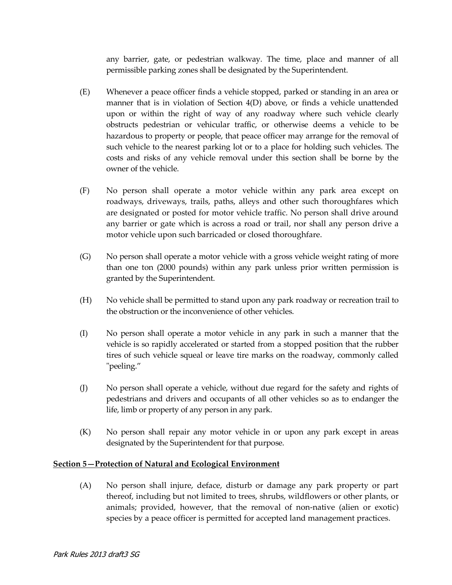any barrier, gate, or pedestrian walkway. The time, place and manner of all permissible parking zones shall be designated by the Superintendent.

- (E) Whenever a peace officer finds a vehicle stopped, parked or standing in an area or manner that is in violation of Section 4(D) above, or finds a vehicle unattended upon or within the right of way of any roadway where such vehicle clearly obstructs pedestrian or vehicular traffic, or otherwise deems a vehicle to be hazardous to property or people, that peace officer may arrange for the removal of such vehicle to the nearest parking lot or to a place for holding such vehicles. The costs and risks of any vehicle removal under this section shall be borne by the owner of the vehicle.
- (F) No person shall operate a motor vehicle within any park area except on roadways, driveways, trails, paths, alleys and other such thoroughfares which are designated or posted for motor vehicle traffic. No person shall drive around any barrier or gate which is across a road or trail, nor shall any person drive a motor vehicle upon such barricaded or closed thoroughfare.
- (G) No person shall operate a motor vehicle with a gross vehicle weight rating of more than one ton (2000 pounds) within any park unless prior written permission is granted by the Superintendent.
- (H) No vehicle shall be permitted to stand upon any park roadway or recreation trail to the obstruction or the inconvenience of other vehicles.
- (I) No person shall operate a motor vehicle in any park in such a manner that the vehicle is so rapidly accelerated or started from a stopped position that the rubber tires of such vehicle squeal or leave tire marks on the roadway, commonly called "peeling."
- (J) No person shall operate a vehicle, without due regard for the safety and rights of pedestrians and drivers and occupants of all other vehicles so as to endanger the life, limb or property of any person in any park.
- (K) No person shall repair any motor vehicle in or upon any park except in areas designated by the Superintendent for that purpose.

## **Section 5—Protection of Natural and Ecological Environment**

(A) No person shall injure, deface, disturb or damage any park property or part thereof, including but not limited to trees, shrubs, wildflowers or other plants, or animals; provided, however, that the removal of non-native (alien or exotic) species by a peace officer is permitted for accepted land management practices.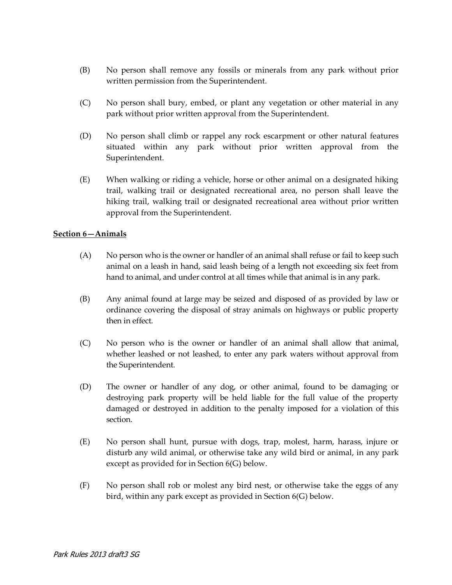- (B) No person shall remove any fossils or minerals from any park without prior written permission from the Superintendent.
- (C) No person shall bury, embed, or plant any vegetation or other material in any park without prior written approval from the Superintendent.
- (D) No person shall climb or rappel any rock escarpment or other natural features situated within any park without prior written approval from the Superintendent.
- (E) When walking or riding a vehicle, horse or other animal on a designated hiking trail, walking trail or designated recreational area, no person shall leave the hiking trail, walking trail or designated recreational area without prior written approval from the Superintendent.

## **Section 6—Animals**

- (A) No person who is the owner or handler of an animal shall refuse or fail to keep such animal on a leash in hand, said leash being of a length not exceeding six feet from hand to animal, and under control at all times while that animal is in any park.
- (B) Any animal found at large may be seized and disposed of as provided by law or ordinance covering the disposal of stray animals on highways or public property then in effect.
- (C) No person who is the owner or handler of an animal shall allow that animal, whether leashed or not leashed, to enter any park waters without approval from the Superintendent.
- (D) The owner or handler of any dog, or other animal, found to be damaging or destroying park property will be held liable for the full value of the property damaged or destroyed in addition to the penalty imposed for a violation of this section.
- (E) No person shall hunt, pursue with dogs, trap, molest, harm, harass, injure or disturb any wild animal, or otherwise take any wild bird or animal, in any park except as provided for in Section 6(G) below.
- (F) No person shall rob or molest any bird nest, or otherwise take the eggs of any bird, within any park except as provided in Section 6(G) below.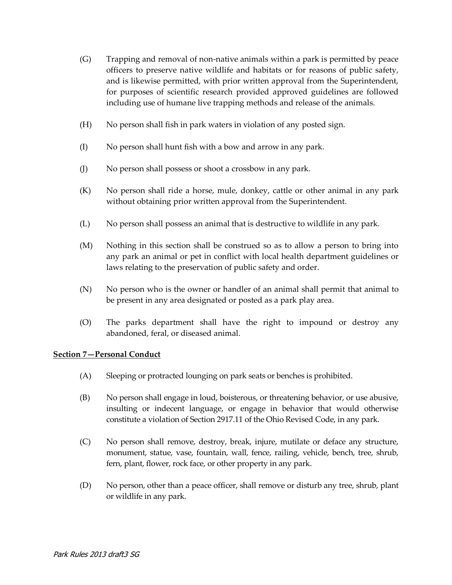- (G) Trapping and removal of non-native animals within a park is permitted by peace officers to preserve native wildlife and habitats or for reasons of public safety, and is likewise permitted, with prior written approval from the Superintendent, for purposes of scientific research provided approved guidelines are followed including use of humane live trapping methods and release of the animals.
- (H) No person shall fish in park waters in violation of any posted sign.
- (I) No person shall hunt fish with a bow and arrow in any park.
- (J) No person shall possess or shoot a crossbow in any park.
- (K) No person shall ride a horse, mule, donkey, cattle or other animal in any park without obtaining prior written approval from the Superintendent.
- (L) No person shall possess an animal that is destructive to wildlife in any park.
- (M) Nothing in this section shall be construed so as to allow a person to bring into any park an animal or pet in conflict with local health department guidelines or laws relating to the preservation of public safety and order.
- (N) No person who is the owner or handler of an animal shall permit that animal to be present in any area designated or posted as a park play area.
- (O) The parks department shall have the right to impound or destroy any abandoned, feral, or diseased animal.

## **Section 7—Personal Conduct**

- (A) Sleeping or protracted lounging on park seats or benches is prohibited.
- (B) No person shall engage in loud, boisterous, or threatening behavior, or use abusive, insulting or indecent language, or engage in behavior that would otherwise constitute a violation of Section 2917.11 of the Ohio Revised Code, in any park.
- (C) No person shall remove, destroy, break, injure, mutilate or deface any structure, monument, statue, vase, fountain, wall, fence, railing, vehicle, bench, tree, shrub, fern, plant, flower, rock face, or other property in any park.
- (D) No person, other than a peace officer, shall remove or disturb any tree, shrub, plant or wildlife in any park.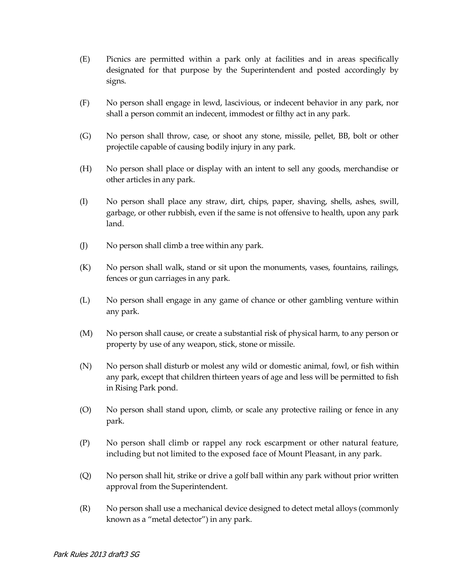- (E) Picnics are permitted within a park only at facilities and in areas specifically designated for that purpose by the Superintendent and posted accordingly by signs.
- (F) No person shall engage in lewd, lascivious, or indecent behavior in any park, nor shall a person commit an indecent, immodest or filthy act in any park.
- (G) No person shall throw, case, or shoot any stone, missile, pellet, BB, bolt or other projectile capable of causing bodily injury in any park.
- (H) No person shall place or display with an intent to sell any goods, merchandise or other articles in any park.
- (I) No person shall place any straw, dirt, chips, paper, shaving, shells, ashes, swill, garbage, or other rubbish, even if the same is not offensive to health, upon any park land.
- (J) No person shall climb a tree within any park.
- (K) No person shall walk, stand or sit upon the monuments, vases, fountains, railings, fences or gun carriages in any park.
- (L) No person shall engage in any game of chance or other gambling venture within any park.
- (M) No person shall cause, or create a substantial risk of physical harm, to any person or property by use of any weapon, stick, stone or missile.
- (N) No person shall disturb or molest any wild or domestic animal, fowl, or fish within any park, except that children thirteen years of age and less will be permitted to fish in Rising Park pond.
- (O) No person shall stand upon, climb, or scale any protective railing or fence in any park.
- (P) No person shall climb or rappel any rock escarpment or other natural feature, including but not limited to the exposed face of Mount Pleasant, in any park.
- (Q) No person shall hit, strike or drive a golf ball within any park without prior written approval from the Superintendent.
- (R) No person shall use a mechanical device designed to detect metal alloys (commonly known as a "metal detector") in any park.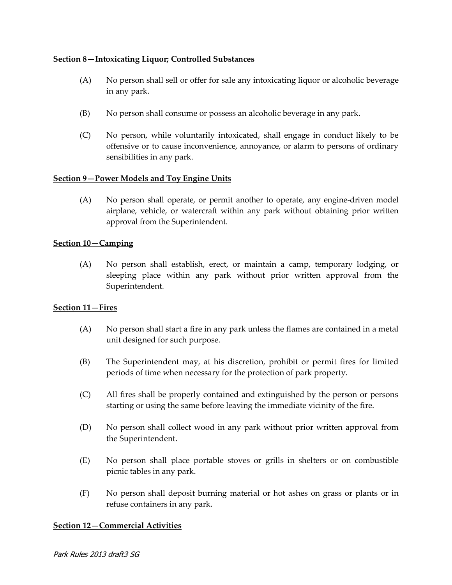## **Section 8—Intoxicating Liquor; Controlled Substances**

- (A) No person shall sell or offer for sale any intoxicating liquor or alcoholic beverage in any park.
- (B) No person shall consume or possess an alcoholic beverage in any park.
- (C) No person, while voluntarily intoxicated, shall engage in conduct likely to be offensive or to cause inconvenience, annoyance, or alarm to persons of ordinary sensibilities in any park.

## **Section 9—Power Models and Toy Engine Units**

(A) No person shall operate, or permit another to operate, any engine-driven model airplane, vehicle, or watercraft within any park without obtaining prior written approval from the Superintendent.

## **Section 10—Camping**

(A) No person shall establish, erect, or maintain a camp, temporary lodging, or sleeping place within any park without prior written approval from the Superintendent.

## **Section 11—Fires**

- (A) No person shall start a fire in any park unless the flames are contained in a metal unit designed for such purpose.
- (B) The Superintendent may, at his discretion, prohibit or permit fires for limited periods of time when necessary for the protection of park property.
- (C) All fires shall be properly contained and extinguished by the person or persons starting or using the same before leaving the immediate vicinity of the fire.
- (D) No person shall collect wood in any park without prior written approval from the Superintendent.
- (E) No person shall place portable stoves or grills in shelters or on combustible picnic tables in any park.
- (F) No person shall deposit burning material or hot ashes on grass or plants or in refuse containers in any park.

## **Section 12—Commercial Activities**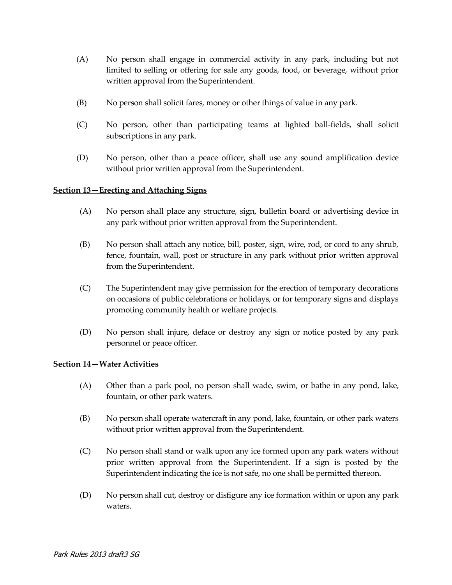- (A) No person shall engage in commercial activity in any park, including but not limited to selling or offering for sale any goods, food, or beverage, without prior written approval from the Superintendent.
- (B) No person shall solicit fares, money or other things of value in any park.
- (C) No person, other than participating teams at lighted ball-fields, shall solicit subscriptions in any park.
- (D) No person, other than a peace officer, shall use any sound amplification device without prior written approval from the Superintendent.

#### **Section 13—Erecting and Attaching Signs**

- (A) No person shall place any structure, sign, bulletin board or advertising device in any park without prior written approval from the Superintendent.
- (B) No person shall attach any notice, bill, poster, sign, wire, rod, or cord to any shrub, fence, fountain, wall, post or structure in any park without prior written approval from the Superintendent.
- (C) The Superintendent may give permission for the erection of temporary decorations on occasions of public celebrations or holidays, or for temporary signs and displays promoting community health or welfare projects.
- (D) No person shall injure, deface or destroy any sign or notice posted by any park personnel or peace officer.

## **Section 14—Water Activities**

- (A) Other than a park pool, no person shall wade, swim, or bathe in any pond, lake, fountain, or other park waters.
- (B) No person shall operate watercraft in any pond, lake, fountain, or other park waters without prior written approval from the Superintendent.
- (C) No person shall stand or walk upon any ice formed upon any park waters without prior written approval from the Superintendent. If a sign is posted by the Superintendent indicating the ice is not safe, no one shall be permitted thereon.
- (D) No person shall cut, destroy or disfigure any ice formation within or upon any park waters.